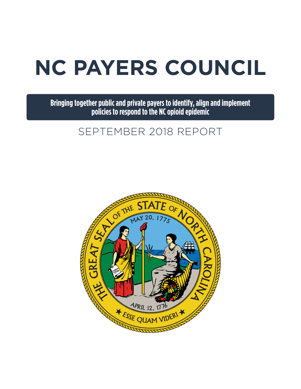# **NC PAYERS COUNCIL**

**Bringing together public and private payers to identify, align and implement policies to respond to the NC opioid epidemic**

## SEPTEMBER 2018 REPORT

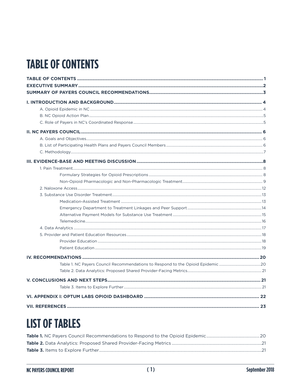# **TABLE OF CONTENTS**

# **LIST OF TABLES**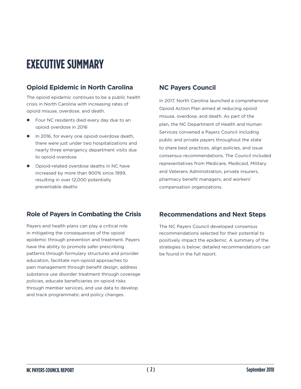# **EXECUTIVE SUMMARY**

### **Opioid Epidemic in North Carolina**

The opioid epidemic continues to be a public health crisis in North Carolina with increasing rates of opioid misuse, overdose, and death.

- Four NC residents died every day due to an opioid overdose in 2016
- In 2016, for every one opioid overdose death, there were just under two hospitalizations and nearly three emergency department visits due to opioid overdose
- Opioid-related overdose deaths in NC have increased by more than 900% since 1999, resulting in over 12,000 potentially preventable deaths

### **NC Payers Council**

In 2017, North Carolina launched a comprehensive Opioid Action Plan aimed at reducing opioid misuse, overdose, and death. As part of the plan, the NC Department of Health and Human Services convened a Payers Council including public and private payers throughout the state to share best practices, align policies, and issue consensus recommendations. The Council included representatives from Medicare, Medicaid, Military and Veterans Administration, private insurers, pharmacy benefit managers, and workers' compensation organizations.

### **Role of Payers in Combating the Crisis**

Payers and health plans can play a critical role in mitigating the consequences of the opioid epidemic through prevention and treatment. Payers have the ability to promote safer prescribing patterns through formulary structures and provider education, facilitate non-opioid approaches to pain management through benefit design, address substance use disorder treatment through coverage policies, educate beneficiaries on opioid risks through member services, and use data to develop and track programmatic and policy changes.

### **Recommendations and Next Steps**

The NC Payers Council developed consensus recommendations selected for their potential to positively impact the epidemic. A summary of the strategies is below; detailed recommendations can be found in the full report.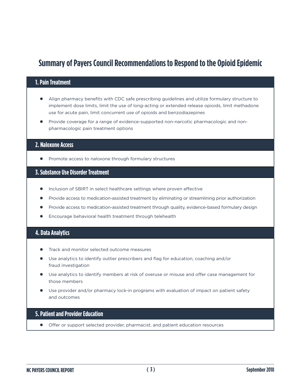### **Summary of Payers Council Recommendations to Respond to the Opioid Epidemic**

### **1. Pain Treatment**

- Align pharmacy benefits with CDC safe prescribing guidelines and utilize formulary structure to implement dose limits, limit the use of long-acting or extended release opioids, limit methadone use for acute pain, limit concurrent use of opioids and benzodiazepines
- **•** Provide coverage for a range of evidence-supported non-narcotic pharmacologic and nonpharmacologic pain treatment options

### **2. Naloxone Access**

Promote access to naloxone through formulary structures

### **3. Substance Use Disorder Treatment**

- **Inclusion of SBIRT in select healthcare settings where proven effective**
- Provide access to medication-assisted treatment by eliminating or streamlining prior authorization
- Provide access to medication-assisted treatment through quality, evidence-based formulary design
- **•** Encourage behavioral health treatment through telehealth

### **4. Data Analytics**

- **•** Track and monitor selected outcome measures
- **•** Use analytics to identify outlier prescribers and flag for education, coaching and/or fraud investigation
- **•** Use analytics to identify members at risk of overuse or misuse and offer case management for those members
- Use provider and/or pharmacy lock-in programs with evaluation of impact on patient safety and outcomes

### **5. Patient and Provider Education**

**•** Offer or support selected provider, pharmacist, and patient education resources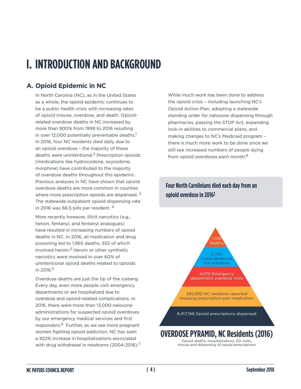# **I. INTRODUCTION AND BACKGROUND**

### **A. Opioid Epidemic in NC**

In North Carolina (NC), as in the United States as a whole, the opioid epidemic continues to be a public health crisis with increasing rates of opioid misuse, overdose, and death. Opioidrelated overdose deaths in NC increased by more than 900% from 1999 to 2016 resulting in over 12,000 potentially preventable deaths.<sup>1</sup> In 2016, four NC residents died daily due to an opioid overdose – the majority of these deaths were unintentional.2 Prescription opioids (medications like hydrocodone, oxycodone, morphine) have contributed to the majority of overdose deaths throughout this epidemic. Previous analyses in NC have shown that opioid overdose deaths are more common in counties where more prescription opioids are dispensed.<sup>3</sup> The statewide outpatient opioid dispensing rate in 2016 was 66.5 pills per resident. 4

More recently however, illicit narcotics (e.g., heroin, fentanyl, and fentanyl analogues) have resulted in increasing numbers of opioid deaths in NC. In 2016, all medication and drug poisoning led to 1,965 deaths, 552 of which involved heroin.<sup>5</sup> Heroin or other synthetic narcotics were involved in over 60% of unintentional opioid deaths related to opioids in 2016.5

Overdose deaths are just the tip of the iceberg. Every day, even more people visit emergency departments or are hospitalized due to overdose and opioid-related complications. In 2016, there were more than 13,000 naloxone administrations for suspected opioid overdoses by our emergency medical services and first responders.<sup>6</sup> Further, as we see more pregnant women fighting opioid addiction, NC has seen a 922% increase in hospitalizations associated with drug withdrawal in newborns (2004-2016).<sup>7</sup> While much work has been done to address the opioid crisis – including launching NC's Opioid Action Plan, adopting a statewide standing order for naloxone dispensing through pharmacies, passing the STOP Act, expanding lock-in abilities to commercial plans, and making changes to NC's Medicaid program – there is much more work to be done since we still see increased numbers of people dying from opioid overdoses each month.<sup>8</sup>

### **Four North Carolinians died each day from an opioid overdose in 20162**



Opioid deaths, hospitalizations, ED visits, misuse and dispensing of opioid prescriptions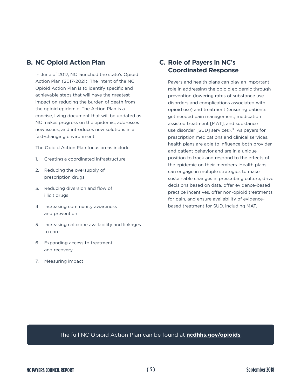### **B. NC Opioid Action Plan**

In June of 2017, NC launched the state's Opioid Action Plan (2017-2021). The intent of the NC Opioid Action Plan is to identify specific and achievable steps that will have the greatest impact on reducing the burden of death from the opioid epidemic. The Action Plan is a concise, living document that will be updated as NC makes progress on the epidemic, addresses new issues, and introduces new solutions in a fast-changing environment.

The Opioid Action Plan focus areas include:

- 1. Creating a coordinated infrastructure
- 2. Reducing the oversupply of prescription drugs
- 3. Reducing diversion and flow of illicit drugs
- 4. Increasing community awareness and prevention
- 5. Increasing naloxone availability and linkages to care
- 6. Expanding access to treatment and recovery
- 7. Measuring impact

### **C. Role of Payers in NC's Coordinated Response**

Payers and health plans can play an important role in addressing the opioid epidemic through prevention (lowering rates of substance use disorders and complications associated with opioid use) and treatment (ensuring patients get needed pain management, medication assisted treatment [MAT], and substance use disorder [SUD] services).<sup>9</sup> As payers for prescription medications and clinical services, health plans are able to influence both provider and patient behavior and are in a unique position to track and respond to the effects of the epidemic on their members. Health plans can engage in multiple strategies to make sustainable changes in prescribing culture, drive decisions based on data, offer evidence-based practice incentives, offer non-opioid treatments for pain, and ensure availability of evidencebased treatment for SUD, including MAT.

### The full NC Opioid Action Plan can be found at **[ncdhhs.gov/opioids](https://ncdhhs.gov/opioids)**.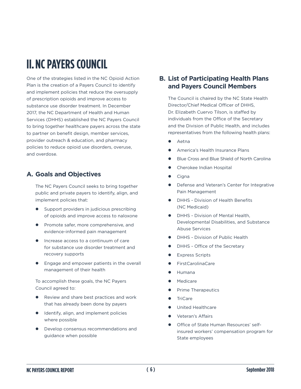# **II. NC PAYERS COUNCIL**

One of the strategies listed in the NC Opioid Action Plan is the creation of a Payers Council to identify and implement policies that reduce the oversupply of prescription opioids and improve access to substance use disorder treatment. In December 2017, the NC Department of Health and Human Services (DHHS) established the NC Payers Council to bring together healthcare payers across the state to partner on benefit design, member services, provider outreach & education, and pharmacy policies to reduce opioid use disorders, overuse, and overdose.

### **A. Goals and Objectives**

The NC Payers Council seeks to bring together public and private payers to identify, align, and implement policies that:

- Support providers in judicious prescribing of opioids and improve access to naloxone
- **•** Promote safer, more comprehensive, and evidence-informed pain management
- **•** Increase access to a continuum of care for substance use disorder treatment and recovery supports
- Engage and empower patients in the overall management of their health

To accomplish these goals, the NC Payers Council agreed to:

- Review and share best practices and work that has already been done by payers
- Identify, align, and implement policies where possible
- Develop consensus recommendations and guidance when possible

### **B. List of Participating Health Plans and Payers Council Members**

The Council is chaired by the NC State Health Director/Chief Medical Officer of DHHS, Dr. Elizabeth Cuervo Tilson, is staffed by individuals from the Office of the Secretary and the Division of Public Health, and includes representatives from the following health plans:

- Aetna
- America's Health Insurance Plans
- Blue Cross and Blue Shield of North Carolina
- Cherokee Indian Hospital
- Cigna
- Defense and Veteran's Center for Integrative Pain Management
- DHHS Division of Health Benefits (NC Medicaid)
- DHHS Division of Mental Health, Developmental Disabilities, and Substance Abuse Services
- DHHS Division of Public Health
- DHHS Office of the Secretary
- Express Scripts
- z FirstCarolinaCare
- **Humana**
- Medicare
- Prime Therapeutics
- TriCare
- United Healthcare
- Veteran's Affairs
- Office of State Human Resources' selfinsured workers' compensation program for State employees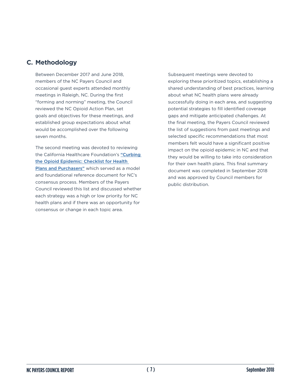### **C. Methodology**

Between December 2017 and June 2018, members of the NC Payers Council and occasional guest experts attended monthly meetings in Raleigh, NC. During the first "forming and norming" meeting, the Council reviewed the NC Opioid Action Plan, set goals and objectives for these meetings, and established group expectations about what would be accomplished over the following seven months.

The second meeting was devoted to reviewing the California Healthcare Foundation's ["Curbing](https://www.iha.org/sites/default/files/files/page/pdf_healthplansopioidchecklist.pdf)  [the Opioid Epidemic: Checklist for Health](https://www.iha.org/sites/default/files/files/page/pdf_healthplansopioidchecklist.pdf)  [Plans and Purchasers"](https://www.iha.org/sites/default/files/files/page/pdf_healthplansopioidchecklist.pdf) which served as a model and foundational reference document for NC's consensus process. Members of the Payers Council reviewed this list and discussed whether each strategy was a high or low priority for NC health plans and if there was an opportunity for consensus or change in each topic area.

Subsequent meetings were devoted to exploring these prioritized topics, establishing a shared understanding of best practices, learning about what NC health plans were already successfully doing in each area, and suggesting potential strategies to fill identified coverage gaps and mitigate anticipated challenges. At the final meeting, the Payers Council reviewed the list of suggestions from past meetings and selected specific recommendations that most members felt would have a significant positive impact on the opioid epidemic in NC and that they would be willing to take into consideration for their own health plans. This final summary document was completed in September 2018 and was approved by Council members for public distribution.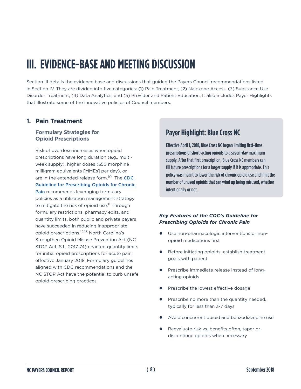# **III. EVIDENCE-BASE AND MEETING DISCUSSION**

Section III details the evidence base and discussions that guided the Payers Council recommendations listed in Section IV. They are divided into five categories: (1) Pain Treatment, (2) Naloxone Access, (3) Substance Use Disorder Treatment, (4) Data Analytics, and (5) Provider and Patient Education. It also includes Payer Highlights that illustrate some of the innovative policies of Council members.

### **1. Pain Treatment**

### **Formulary Strategies for Opioid Prescriptions**

Risk of overdose increases when opioid prescriptions have long duration (e.g., multiweek supply), higher doses (≥50 morphine milligram equivalents [MMEs] per day), or are in the extended-release form.<sup>10</sup> The CDC [Guideline for Prescribing Opioids for Chronic](https://www.cdc.gov/mmwr/volumes/65/rr/rr6501e1.htm)  [Pain](https://www.cdc.gov/mmwr/volumes/65/rr/rr6501e1.htm) recommends leveraging formulary policies as a utilization management strategy to mitigate the risk of opioid use.<sup>11</sup> Through formulary restrictions, pharmacy edits, and quantity limits, both public and private payers have succeeded in reducing inappropriate opioid prescriptions.12,13 North Carolina's Strengthen Opioid Misuse Prevention Act (NC STOP Act, S.L. 2017-74) enacted quantity limits for initial opioid prescriptions for acute pain, effective January 2018. Formulary guidelines aligned with CDC recommendations and the NC STOP Act have the potential to curb unsafe opioid prescribing practices.

### **Payer Highlight: Blue Cross NC**

Effective April 1, 2018, Blue Cross NC began limiting first-time prescriptions of short-acting opioids to a seven-day maximum supply. After that first prescription, Blue Cross NC members can fill future prescriptions for a larger supply if it is appropriate. This policy was meant to lower the risk of chronic opioid use and limit the number of unused opioids that can wind up being misused, whether intentionally or not.

### *Key Features of the CDC's Guideline for Prescribing Opioids for Chronic Pain*

- Use non-pharmacologic interventions or nonopioid medications first
- **•** Before initiating opioids, establish treatment goals with patient
- Prescribe immediate release instead of longacting opioids
- Prescribe the lowest effective dosage
- Prescribe no more than the quantity needed, typically for less than 3-7 days
- Avoid concurrent opioid and benzodiazepine use
- Reevaluate risk vs. benefits often, taper or discontinue opioids when necessary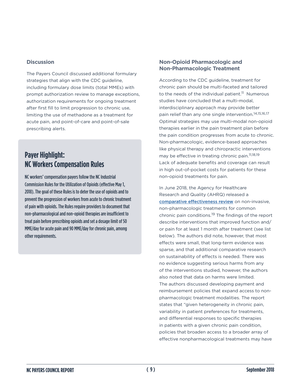### **Discussion**

The Payers Council discussed additional formulary strategies that align with the CDC guideline, including formulary dose limits (total MMEs) with prompt authorization review to manage exceptions, authorization requirements for ongoing treatment after first fill to limit progression to chronic use, limiting the use of methadone as a treatment for acute pain, and point-of-care and point-of-sale prescribing alerts.

### **Payer Highlight: NC Workers Compensation Rules**

NC workers' compensation payers follow the NC Industrial Commission Rules for the Utilization of Opioids (effective May 1, 2018). The goal of these Rules is to deter the use of opioids and to prevent the progression of workers from acute to chronic treatment of pain with opioids. The Rules require providers to document that non-pharmacological and non-opioid therapies are insufficient to treat pain before prescribing opioids and set a dosage limit of 50 MME/day for acute pain and 90 MME/day for chronic pain, among other requirements.

### **Non-Opioid Pharmacologic and Non-Pharmacologic Treatment**

According to the CDC guideline, treatment for chronic pain should be multi-faceted and tailored to the needs of the individual patient.<sup>11</sup> Numerous studies have concluded that a multi-modal, interdisciplinary approach may provide better pain relief than any one single intervention.<sup>14,15,16,17</sup> Optimal strategies may use multi-modal non-opioid therapies earlier in the pain treatment plan before the pain condition progresses from acute to chronic. Non-pharmacologic, evidence-based approaches like physical therapy and chiropractic interventions may be effective in treating chronic pain.<sup>11,18,19</sup> Lack of adequate benefits and coverage can result in high out-of-pocket costs for patients for these non-opioid treatments for pain.

In June 2018, the Agency for Healthcare Research and Quality (AHRQ) released a [comparative effectiveness review](https://effectivehealthcare.ahrq.gov/sites/default/files/pdf/nonpharma-chronic-pain-cer-209.pdf) on non-invasive, non-pharmacologic treatments for common chronic pain conditions.<sup>19</sup> The findings of the report describe interventions that improved function and/ or pain for at least 1 month after treatment (see list below). The authors did note, however, that most effects were small, that long-term evidence was sparse, and that additional comparative research on sustainability of effects is needed. There was no evidence suggesting serious harms from any of the interventions studied, however, the authors also noted that data on harms were limited. The authors discussed developing payment and reimbursement policies that expand access to nonpharmacologic treatment modalities. The report states that "given heterogeneity in chronic pain, variability in patient preferences for treatments, and differential responses to specific therapies in patients with a given chronic pain condition, policies that broaden access to a broader array of effective nonpharmacological treatments may have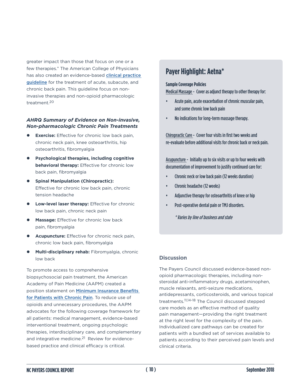greater impact than those that focus on one or a few therapies." The American College of Physicians has also created an evidence-based clinical practice [guideline](http://annals.org/aim/fullarticle/2603228/noninvasive-treatments-acute-subacute-chronic-low-back-pain-clinical-practice) for the treatment of acute, subacute, and chronic back pain. This guideline focus on noninvasive therapies and non-opioid pharmacologic treatment.20

### *AHRQ Summary of Evidence on Non-invasive, Non-pharmacologic Chronic Pain Treatments*

- **Exercise:** Effective for chronic low back pain, chronic neck pain, knee osteoarthritis, hip osteoarthritis, fibromyalgia
- **Psychological therapies, including cognitive behavioral therapy:** Effective for chronic low back pain, fibromyalgia
- **•** Spinal Manipulation (Chiropractic): Effective for chronic low back pain, chronic tension headache
- Low-level laser therapy: Effective for chronic low back pain, chronic neck pain
- **Massage:** Effective for chronic low back pain, fibromyalgia
- **Acupuncture:** Effective for chronic neck pain, chronic low back pain, fibromyalgia
- **Multi-disciplinary rehab:** Fibromyalgia, chronic low back

To promote access to comprehensive biopsychosocial pain treatment, the American Academy of Pain Medicine (AAPM) created a position statement on **Minimum Insurance Benefits** [for Patients with Chronic Pain](http://www.painmed.org/files/minimum-insurance-benefits-for-patients-with-chronic-pain.pdf). To reduce use of opioids and unnecessary procedures, the AAPM advocates for the following coverage framework for all patients: medical management, evidence-based interventional treatment, ongoing psychologic therapies, interdisciplinary care, and complementary and integrative medicine.<sup>21</sup> Review for evidencebased practice and clinical efficacy is critical.

### **Payer Highlight: Aetna\***

### **Sample Coverage Policies**

Medical Massage - Cover as adjunct therapy to other therapy for:

- Acute pain, acute exacerbation of chronic muscular pain, and some chronic low back pain
- No indications for long-term massage therapy.

Chiropractic Care - Cover four visits in first two weeks and re-evaluate before additional visits for chronic back or neck pain.

Acupuncture - Initially up to six visits or up to four weeks with documentation of improvement to justify continued care for:

- Chronic neck or low back pain (12 weeks duration)
- Chronic headache (12 weeks)
- Adjunctive therapy for osteoarthritis of knee or hip
- Post-operative dental pain or TMJ disorders.

\* Varies by line of business and state

### **Discussion**

The Payers Council discussed evidence-based nonopioid pharmacologic therapies, including nonsteroidal anti-inflammatory drugs, acetaminophen, muscle relaxants, anti-seizure medications, antidepressants, corticosteroids, and various topical treatments.11,14-18 The Council discussed stepped care models as an effective method of quality pain management—providing the right treatment at the right level for the complexity of the pain. Individualized care pathways can be created for patients with a bundled set of services available to patients according to their perceived pain levels and clinical criteria.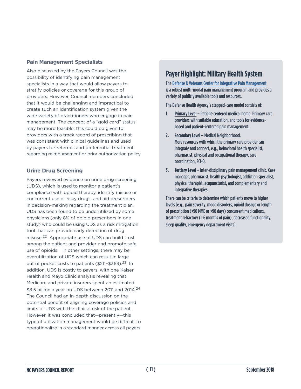### **Pain Management Specialists**

Also discussed by the Payers Council was the possibility of identifying pain management specialists in a way that would allow payers to stratify policies or coverage for this group of providers. However, Council members concluded that it would be challenging and impractical to create such an identification system given the wide variety of practitioners who engage in pain management. The concept of a "gold card" status may be more feasible; this could be given to providers with a track record of prescribing that was consistent with clinical guidelines and used by payers for referrals and preferential treatment regarding reimbursement or prior authorization policy.

### **Urine Drug Screening**

Payers reviewed evidence on urine drug screening (UDS), which is used to monitor a patient's compliance with opioid therapy, identify misuse or concurrent use of risky drugs, and aid prescribers in decision-making regarding the treatment plan. UDS has been found to be underutilized by some physicians (only 8% of opioid prescribers in one study) who could be using UDS as a risk mitigation tool that can provide early detection of drug misuse.22 Appropriate use of UDS can build trust among the patient and provider and promote safe use of opioids. In other settings, there may be overutilization of UDS which can result in large out of pocket costs to patients (\$211-\$363).<sup>23</sup> In addition, UDS is costly to payers, with one Kaiser Health and Mayo Clinic analysis revealing that Medicare and private insurers spent an estimated \$8.5 billion a year on UDS between 2011 and 2014.<sup>24</sup> The Council had an in-depth discussion on the potential benefit of aligning coverage policies and limits of UDS with the clinical risk of the patient. However, it was concluded that—presently—this type of utilization management would be difficult to operationalize in a standard manner across all payers.

### **Payer Highlight: Military Health System**

The [Defense & Veterans Center for Integrative Pain Management](http://www.dvcipm.org/clinical-resources/) is a robust multi-modal pain management program and provides a variety of publicly available tools and resources.

The Defense Health Agency's stepped-care model consists of:

- **1. Primary Level** Patient-centered medical home. Primary care providers with suitable education, and tools for evidencebased and patient-centered pain management.
- **2. Secondary Level** Medical Neighborhood. More resources with which the primary care provider can integrate and connect, e.g., behavioral health specialist, pharmacist, physical and occupational therapy, care coordination, ECHO.
- **3. Tertiary Level** Inter-disciplinary pain management clinic. Case manager, pharmacist, health psychologist, addiction specialist, physical therapist, acupuncturist, and complementary and integrative therapies.

There can be criteria to determine which patients move to higher levels [e.g., pain severity, mood disorders, opioid dosage or length of prescription (>90 MME or >90 days) concurrent medications, treatment refractory (> 6 months of pain), decreased functionality, sleep quality, emergency department visits].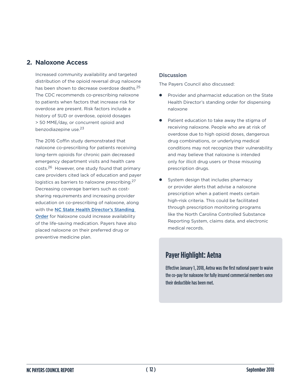### **2. Naloxone Access**

Increased community availability and targeted distribution of the opioid reversal drug naloxone has been shown to decrease overdose deaths.<sup>25</sup> The CDC recommends co-prescribing naloxone to patients when factors that increase risk for overdose are present. Risk factors include a history of SUD or overdose, opioid dosages > 50 MME/day, or concurrent opioid and benzodiazepine use.23

The 2016 Coffin study demonstrated that naloxone co-prescribing for patients receiving long-term opioids for chronic pain decreased emergency department visits and health care costs.26 However, one study found that primary care providers cited lack of education and payer logistics as barriers to naloxone prescribing.<sup>27</sup> Decreasing coverage barriers such as costsharing requirements and increasing provider education on co-prescribing of naloxone, along with the **NC State Health Director's Standing** [Order](https://www.naloxonesaves.org/files/2018/03/2018-Standing-Order.pdf) for Naloxone could increase availability of the life-saving medication. Payers have also placed naloxone on their preferred drug or preventive medicine plan.

### **Discussion**

The Payers Council also discussed:

- Provider and pharmacist education on the State Health Director's standing order for dispensing naloxone
- Patient education to take away the stigma of receiving naloxone. People who are at risk of overdose due to high opioid doses, dangerous drug combinations, or underlying medical conditions may not recognize their vulnerability and may believe that naloxone is intended only for illicit drug users or those misusing prescription drugs.
- System design that includes pharmacy or provider alerts that advise a naloxone prescription when a patient meets certain high-risk criteria. This could be facilitated through prescription monitoring programs like the North Carolina Controlled Substance Reporting System, claims data, and electronic medical records.

### **Payer Highlight: Aetna**

Effective January 1, 2018, Aetna was the first national payer to waive the co-pay for naloxone for fully insured commercial members once their deductible has been met.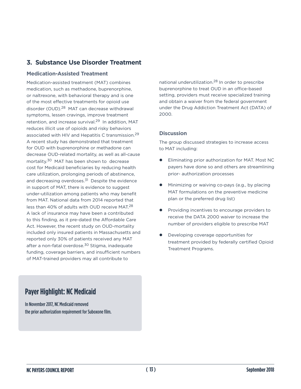### **3. Substance Use Disorder Treatment**

### **Medication-Assisted Treatment**

Medication-assisted treatment (MAT) combines medication, such as methadone, buprenorphine, or naltrexone, with behavioral therapy and is one of the most effective treatments for opioid use disorder (OUD).28 MAT can decrease withdrawal symptoms, lessen cravings, improve treatment retention, and increase survival.<sup>29</sup> In addition, MAT reduces illicit use of opioids and risky behaviors associated with HIV and Hepatitis C transmission.<sup>29</sup> A recent study has demonstrated that treatment for OUD with buprenorphine or methadone can decrease OUD-related mortality, as well as all-cause mortality.30 MAT has been shown to decrease cost for Medicaid beneficiaries by reducing health care utilization, prolonging periods of abstinence, and decreasing overdoses.<sup>31</sup> Despite the evidence in support of MAT, there is evidence to suggest under-utilization among patients who may benefit from MAT. National data from 2014 reported that less than 40% of adults with OUD receive MAT.28 A lack of insurance may have been a contributed to this finding, as it pre-dated the Affordable Care Act. However, the recent study on OUD-mortality included only insured patients in Massachusetts and reported only 30% of patients received any MAT after a non-fatal overdose.30 Stigma, inadequate funding, coverage barriers, and insufficient numbers of MAT-trained providers may all contribute to

national underutilization.28 In order to prescribe buprenorphine to treat OUD in an office-based setting, providers must receive specialized training and obtain a waiver from the federal government under the Drug Addiction Treatment Act (DATA) of 2000.

### **Discussion**

The group discussed strategies to increase access to MAT including:

- Eliminating prior authorization for MAT. Most NC payers have done so and others are streamlining prior- authorization processes
- Minimizing or waiving co-pays (e.g., by placing MAT formulations on the preventive medicine plan or the preferred drug list)
- Providing incentives to encourage providers to receive the DATA 2000 waiver to increase the number of providers eligible to prescribe MAT
- Developing coverage opportunities for treatment provided by federally certified Opioid Treatment Programs.

### **Payer Highlight: NC Medicaid**

In November 2017, NC Medicaid removed the prior authorization requirement for Suboxone film.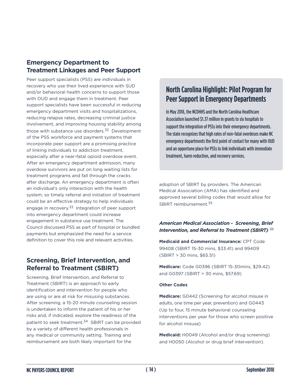### **Emergency Department to Treatment Linkages and Peer Support**

Peer support specialists (PSS) are individuals in recovery who use their lived experience with SUD and/or behavioral health concerns to support those with OUD and engage them in treatment. Peer support specialists have been successful in reducing emergency department visits and hospitalizations, reducing relapse rates, decreasing criminal justice involvement, and improving housing stability among those with substance use disorders.<sup>32</sup> Development of the PSS workforce and payment systems that incorporate peer support are a promising practice of linking individuals to addiction treatment, especially after a near-fatal opioid overdose event. After an emergency department admission, many overdose survivors are put on long waiting lists for treatment programs and fall through the cracks after discharge. An emergency department is often an individual's only interaction with the health system, so timely referral and initiation of treatment could be an effective strategy to help individuals engage in recovery.<sup>33</sup> Integration of peer support into emergency department could increase engagement in substance use treatment. The Council discussed PSS as part of hospital or bundled payments but emphasized the need for a service definition to cover this role and relevant activities.

### **Screening, Brief Intervention, and Referral to Treatment (SBIRT)**

Screening, Brief Intervention, and Referral to Treatment (SBIRT) is an approach to early identification and intervention for people who are using or are at risk for misusing substances. After screening, a 15-20 minute counseling session is undertaken to inform the patient of his or her risks and, if indicated, explore the readiness of the patient to seek treatment.<sup>34</sup> SBIRT can be provided by a variety of different health professionals in any medical or community setting. Training and reimbursement are both likely important for the

### **North Carolina Highlight: Pilot Program for Peer Support in Emergency Departments**

In May 2018, the NCDHHS and the North Carolina Healthcare Association launched \$1.37 million in grants to six hospitals to support the integration of PSSs into their emergency departments. The state recognizes that high rates of non-fatal overdoses make NC emergency departments the first point of contact for many with OUD and an opportune place for PSSs to link individuals with immediate treatment, harm reduction, and recovery services.

adoption of SBIRT by providers. The American Medical Association (AMA) has identified and approved several billing codes that would allow for SBIRT reimbursement<sup>35</sup>

### *American Medical Association - Screening, Brief Intervention, and Referral to Treatment (SBIRT)* <sup>38</sup>

**Medicaid and Commercial Insurance:** CPT Code 99408 (SBIRT 15-30 mins, \$33.41) and 99409 (SBIRT > 30 mins, \$65.51)

**Medicare:** Code G0396 (SBIRT 15-30mins, \$29.42) and G0397 (SBIRT > 30 mins, \$57.69)

### **Other Codes**

**Medicare:** G0442 (Screening for alcohol misuse in adults, one time per year, prevention) and G0443 (Up to four, 15 minute behavioral counseling interventions per year for those who screen positive for alcohol misuse)

**Medicaid:** H0049 (Alcohol and/or drug screening) and H0050 (Alcohol or drug brief intervention).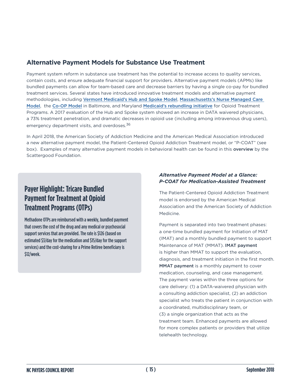### **Alternative Payment Models for Substance Use Treatment**

Payment system reform in substance use treatment has the potential to increase access to quality services, contain costs, and ensure adequate financial support for providers. Alternative payment models (APMs) like bundled payments can allow for team-based care and decrease barriers by having a single co-pay for bundled treatment services. Several states have introduced innovative treatment models and alternative payment methodologies, including [Vermont Medicaid's Hub and Spoke Model](https://www.achp.org/wp-content/uploads/Vermont-Health-Homes-for-Opiate-Addiction-September-2013.pdf), [Massachusetts's Nurse Managed Care](https://www.ncbi.nlm.nih.gov/pmc/articles/PMC3059544/pdf/nihms240250.pdf)  [Model](https://www.ncbi.nlm.nih.gov/pmc/articles/PMC3059544/pdf/nihms240250.pdf), the [Co-OP Model](http://www.atforum.com/pdf/AHSRpublishedabstract.pdf) in Baltimore, and Maryland [Medicaid's rebundling initiative](https://health.maryland.gov/bhd/Documents/Rebundling Initiative 9-6-16.pdf) for Opioid Treatment Programs. A 2017 evaluation of the Hub and Spoke system showed an increase in DATA waivered physicians, a 73% treatment penetration, and dramatic decreases in opioid use (including among intravenous drug users), emergency department visits, and overdoses.<sup>36</sup>

In April 2018, the American Society of Addiction Medicine and the American Medical Association introduced a new alternative payment model, the Patient-Centered Opioid Addiction Treatment model, or "P-COAT" (see box). Examples of many alternative payment models in behavioral health can be found in this overview by the Scattergood Foundation.

### **Payer Highlight: Tricare Bundled Payment for Treatment at Opioid Treatment Programs (OTPs)**

Methadone OTPs are reimbursed with a weekly, bundled payment that covers the cost of the drug and any medical or psychosocial support services that are provided. The rate is \$126 (based on estimated \$3/day for the medication and \$15/day for the support services) and the cost-sharing for a Prime Retiree beneficiary is \$12/week.

### *Alternative Payment Model at a Glance: P-COAT for Medication-Assisted Treatment*

The Patient-Centered Opioid Addiction Treatment model is endorsed by the American Medical Association and the American Society of Addiction Medicine.

Payment is separated into two treatment phases: a one-time bundled payment for Initiation of MAT (IMAT) and a monthly bundled payment to support Maintenance of MAT (MMAT). IMAT payment is higher than MMAT to support the evaluation, diagnosis, and treatment initiation in the first month. MMAT payment is a monthly payment to cover medication, counseling, and case management. The payment varies within the three options for care delivery: (1) a DATA-waivered physician with a consulting addiction specialist, (2) an addiction specialist who treats the patient in conjunction with a coordinated, multidisciplinary team, or (3) a single organization that acts as the treatment team. Enhanced payments are allowed for more complex patients or providers that utilize telehealth technology.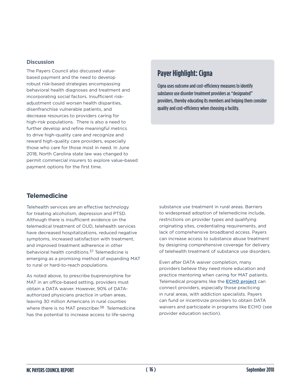### **Discussion**

The Payers Council also discussed valuebased payment and the need to develop robust risk-based strategies encompassing behavioral health diagnoses and treatment and incorporating social factors. Insufficient riskadjustment could worsen health disparities, disenfranchise vulnerable patients, and decrease resources to providers caring for high-risk populations. There is also a need to further develop and refine meaningful metrics to drive high-quality care and recognize and reward high-quality care providers, especially those who care for those most in need. In June 2018, North Carolina state law was changed to permit commercial insurers to explore value-based payment options for the first time.

### **Payer Highlight: Cigna**

Cigna uses outcome and cost-efficiency measures to identify substance use disorder treatment providers as "designated" providers, thereby educating its members and helping them consider quality and cost-efficiency when choosing a facility.

### **Telemedicine**

Telehealth services are an effective technology for treating alcoholism, depression and PTSD. Although there is insufficient evidence on the telemedical treatment of OUD, telehealth services have decreased hospitalizations, reduced negative symptoms, increased satisfaction with treatment, and improved treatment adherence in other behavioral health conditions.37 Telemedicine is emerging as a promising method of expanding MAT to rural or hard-to-reach populations.

As noted above, to prescribe buprenorphine for MAT in an office-based setting, providers must obtain a DATA waiver. However, 90% of DATAauthorized physicians practice in urban areas, leaving 30 million Americans in rural counties where there is no MAT prescriber.<sup>38</sup> Telemedicine has the potential to increase access to life-saving

substance use treatment in rural areas. Barriers to widespread adoption of telemedicine include, restrictions on provider types and qualifying originating sites, credentialing requirements, and lack of comprehensive broadband access. Payers can increase access to substance abuse treatment by designing comprehensive coverage for delivery of telehealth treatment of substance use disorders.

Even after DATA waiver completion, many providers believe they need more education and practice mentoring when caring for MAT patients. Telemedical programs like the **[ECHO project](https://echo.unm.edu/)** can connect providers, especially those practicing in rural areas, with addiction specialists. Payers can fund or incentivize providers to obtain DATA waivers and participate in programs like ECHO (see provider education section).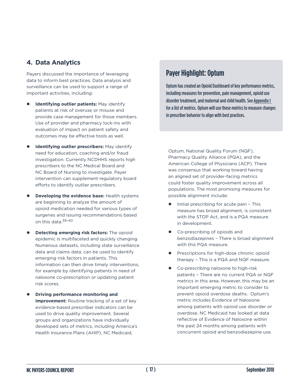### **4. Data Analytics**

Payers discussed the importance of leveraging data to inform best practices. Data analysis and surveillance can be used to support a range of important activities, including:

- **Identifying outlier patients: May identify** patients at risk of overuse or misuse and provide case management for those members. Use of provider and pharmacy lock-ins with evaluation of impact on patient safety and outcomes may be effective tools as well.
- **Identifying outlier prescribers:** May identify need for education, coaching and/or fraud investigation. Currently NCDHHS reports high prescribers to the NC Medical Board and NC Board of Nursing to investigate. Payer intervention can supplement regulatory board efforts to identify outlier prescribers.
- **Developing the evidence base:** Health systems are beginning to analyze the amount of opioid medication needed for various types of surgeries and issuing recommendations based on this data.39-40
- **Detecting emerging risk factors:** The opioid epidemic is multifaceted and quickly changing. Numerous datasets, including state surveillance data and claims data, can be used to identify emerging risk factors in patients. This information can then drive timely interventions, for example by identifying patients in need of naloxone co-prescription or updating patient risk scores.
- **Driving performance monitoring and improvement:** Routine tracking of a set of key evidence-based prescriber indicators can be used to drive quality improvement. Several groups and organizations have individually developed sets of metrics, including America's Health Insurance Plans (AHIP), NC Medicaid,

### **Payer Highlight: Optum**

Optum has created an Opioid Dashboard of key performance metrics, including measures for prevention, pain management, opioid use disorder treatment, and maternal and child health. See Appendix I for a list of metrics. Optum will use these metrics to measure changes in prescriber behavior to align with best practices.

Optum, National Quality Forum (NQF), Pharmacy Quality Alliance (PQA), and the American College of Physicians (ACP). There was consensus that working toward having an aligned set of provider-facing metrics could foster quality improvement across all populations. The most promising measures for possible alignment include:

- $\bullet$  Initial prescribing for acute pain This measure has broad alignment, is consistent with the STOP Act, and is a PQA measure in development.
- Co-prescribing of opioids and benzodiazepines – There is broad alignment with this PQA measure.
- **•** Prescriptions for high-dose chronic opioid therapy – This is a PQA and NQF measure.
- Co-prescribing naloxone to high-risk patients – There are no current PQA or NQF metrics in this area. However, this may be an important emerging metric to consider to prevent opioid overdose deaths. Optum's metric includes Evidence of Naloxone among patients with opioid use disorder or overdose. NC Medicaid has looked at data reflective of Evidence of Naloxone within the past 24 months among patients with concurrent opioid and benzodiazepine use.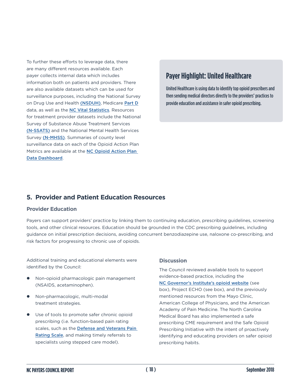To further these efforts to leverage data, there are many different resources available. Each payer collects internal data which includes information both on patients and providers. There are also available datasets which can be used for surveillance purposes, including the National Survey on Drug Use and Health [\(NSDUH\)](https://www.samhsa.gov/data/data-we-collect/nsduh-national-survey-drug-use-and-health), Medicare [Part D](https://www.cms.gov/Research-Statistics-Data-and-Systems/Statistics-Trends-and-Reports/Medicare-Provider-Charge-Data/Part-D-Prescriber.html) data, as well as the [NC Vital Statistics](http://vitalrecords.nc.gov/research.htm). Resources for treatment provider datasets include the National Survey of Substance Abuse Treatment Services [\(N-SSATS\)](https://wwwdasis.samhsa.gov/dasis2/nssats.htm) and the National Mental Health Services Survey [\(N-MHSS\)](https://wwwdasis.samhsa.gov/dasis2/nmhss.htm). Summaries of county level surveillance data on each of the Opioid Action Plan Metrics are available at the NC Opioid Action Plan [Data Dashboard](https://injuryfreenc.shinyapps.io/OpioidActionPlan/).

### **Payer Highlight: United Healthcare**

United Healthcare is using data to identify top opioid prescribers and then sending medical directors directly to the providers' practices to provide education and assistance in safer opioid prescribing.

### **5. Provider and Patient Education Resources**

### **Provider Education**

Payers can support providers' practice by linking them to continuing education, prescribing guidelines, screening tools, and other clinical resources. Education should be grounded in the CDC prescribing guidelines, including guidance on initial prescription decisions, avoiding concurrent benzodiazepine use, naloxone co-prescribing, and risk factors for progressing to chronic use of opioids.

Additional training and educational elements were identified by the Council:

- Non-opioid pharmacologic pain management (NSAIDS, acetaminophen).
- Non-pharmacologic, multi-modal treatment strategies.
- Use of tools to promote safer chronic opioid prescribing (i.e. function-based pain rating scales, such as the [Defense and Veterans Pain](http://www.dvcipm.org/clinical-resources/defense-veterans-pain-rating-scale-dvprs/)  [Rating Scale](http://www.dvcipm.org/clinical-resources/defense-veterans-pain-rating-scale-dvprs/), and making timely referrals to specialists using stepped care model).

### **Discussion**

The Council reviewed available tools to support evidence-based practice, including the [NC Governor's Institute's opioid website](http://governorsinstitute.org/opioid/) (see box), Project ECHO (see box), and the previously mentioned resources from the Mayo Clinic, American College of Physicians, and the American Academy of Pain Medicine. The North Carolina Medical Board has also implemented a safe prescribing CME requirement and the Safe Opioid Prescribing Initiative with the intent of proactively identifying and educating providers on safer opioid prescribing habits.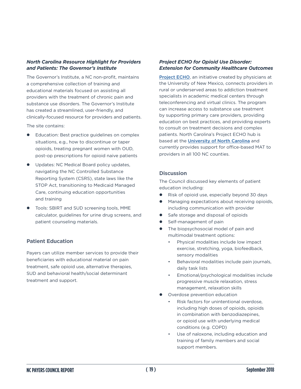### *North Carolina Resource Highlight for Providers and Patients: The Governor's Institute*

The Governor's Institute, a NC non-profit, maintains a comprehensive collection of training and educational materials focused on assisting all providers with the treatment of chronic pain and substance use disorders. The Governor's Institute has created a streamlined, user-friendly, and clinically-focused resource for providers and patients.

The site contains:

- Education: Best practice guidelines on complex situations, e.g., how to discontinue or taper opioids, treating pregnant women with OUD, post-op prescriptions for opioid naive patients
- **•** Updates: NC Medical Board policy updates, navigating the NC Controlled Substance Reporting System (CSRS), state laws like the STOP Act, transitioning to Medicaid Managed Care, continuing education opportunities and training
- Tools: SBIRT and SUD screening tools, MME calculator, guidelines for urine drug screens, and patient counseling materials.

### **Patient Education**

Payers can utilize member services to provide their beneficiaries with educational material on pain treatment, safe opioid use, alternative therapies, SUD and behavioral health/social determinant treatment and support.

### *Project ECHO for Opioid Use Disorder: Extension for Community Healthcare Outcomes*

[Project ECHO](https://echo.unm.edu/), an initiative created by physicians at the University of New Mexico, connects providers in rural or underserved areas to addiction treatment specialists in academic medical centers through teleconferencing and virtual clinics. The program can increase access to substance use treatment by supporting primary care providers, providing education on best practices, and providing experts to consult on treatment decisions and complex patients. North Carolina's Project ECHO hub is based at the [University of North Carolina](https://echo.unc.edu/) and currently provides support for office-based MAT to providers in all 100 NC counties.

### **Discussion**

The Council discussed key elements of patient education including:

- Risk of opioid use, especially beyond 30 days
- Managing expectations about receiving opioids, including communication with provider
- Safe storage and disposal of opioids
- Self-management of pain
- The biopsychosocial model of pain and multimodal treatment options:
	- Physical modalities include low impact exercise, stretching, yoga, biofeedback, sensory modalities
	- Behavioral modalities include pain journals, daily task lists
	- Emotional/psychological modalities include progressive muscle relaxation, stress management, relaxation skills
- Overdose prevention education
	- Risk factors for unintentional overdose. including high doses of opioids, opioids in combination with benzodiazepines, or opioid use with underlying medical conditions (e.g. COPD)
	- Use of naloxone, including education and training of family members and social support members.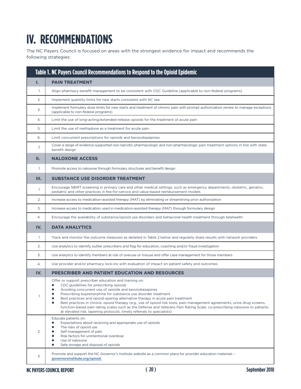# **IV. RECOMMENDATIONS**

The NC Payers Council is focused on areas with the strongest evidence for impact and recommends the following strategies:

|      | Table 1. NC Payers Council Recommendations to Respond to the Opioid Epidemic                                                                                                                                                                                                                                                                                                                                                                                                                                                                                                                                                                        |
|------|-----------------------------------------------------------------------------------------------------------------------------------------------------------------------------------------------------------------------------------------------------------------------------------------------------------------------------------------------------------------------------------------------------------------------------------------------------------------------------------------------------------------------------------------------------------------------------------------------------------------------------------------------------|
| ı.   | <b>PAIN TREATMENT</b>                                                                                                                                                                                                                                                                                                                                                                                                                                                                                                                                                                                                                               |
| 1.   | Align pharmacy benefit management to be consistent with CDC Guideline (applicable to non-federal programs)                                                                                                                                                                                                                                                                                                                                                                                                                                                                                                                                          |
| 2.   | Implement quantity limits for new starts consistent with NC law                                                                                                                                                                                                                                                                                                                                                                                                                                                                                                                                                                                     |
| 3.   | Implement formulary dose limits for new starts and treatment of chronic pain with prompt authorization review to manage exceptions<br>(applicable to non-federal programs)                                                                                                                                                                                                                                                                                                                                                                                                                                                                          |
| 4.   | Limit the use of long-acting/extended-release opioids for the treatment of acute pain                                                                                                                                                                                                                                                                                                                                                                                                                                                                                                                                                               |
| 5.   | Limit the use of methadone as a treatment for acute pain                                                                                                                                                                                                                                                                                                                                                                                                                                                                                                                                                                                            |
| 6.   | Limit concurrent prescriptions for opioids and benzodiazepines                                                                                                                                                                                                                                                                                                                                                                                                                                                                                                                                                                                      |
| 7.   | Cover a range of evidence-supported non-narcotic pharmacologic and non-pharmacologic pain treatment options in line with state<br>benefit design                                                                                                                                                                                                                                                                                                                                                                                                                                                                                                    |
| Ш.   | <b>NALOXONE ACCESS</b>                                                                                                                                                                                                                                                                                                                                                                                                                                                                                                                                                                                                                              |
| 1.   | Promote access to naloxone through formulary structures and benefit design                                                                                                                                                                                                                                                                                                                                                                                                                                                                                                                                                                          |
| III. | <b>SUBSTANCE USE DISORDER TREATMENT</b>                                                                                                                                                                                                                                                                                                                                                                                                                                                                                                                                                                                                             |
| 1.   | Encourage SBIRT screening in primary care and other medical settings, such as emergency departments, obstetric, geriatric,<br>pediatric and other practices in fee-for-service and value-based reimbursement models                                                                                                                                                                                                                                                                                                                                                                                                                                 |
| 2.   | Increase access to medication-assisted therapy (MAT) by eliminating or streamlining prior authorization                                                                                                                                                                                                                                                                                                                                                                                                                                                                                                                                             |
| 3.   | Increase access to medication used in medication-assisted therapy (MAT) through formulary design                                                                                                                                                                                                                                                                                                                                                                                                                                                                                                                                                    |
| 4.   | Encourage the availability of substance/opioid use disorders and behavioral health treatment through telehealth                                                                                                                                                                                                                                                                                                                                                                                                                                                                                                                                     |
| IV.  | <b>DATA ANALYTICS</b>                                                                                                                                                                                                                                                                                                                                                                                                                                                                                                                                                                                                                               |
| 1.   | Track and monitor the outcome measures as detailed in Table 2 below and regularly share results with network providers                                                                                                                                                                                                                                                                                                                                                                                                                                                                                                                              |
| 2.   | Use analytics to identify outlier prescribers and flag for education, coaching and/or fraud investigation                                                                                                                                                                                                                                                                                                                                                                                                                                                                                                                                           |
| 3.   | Use analytics to identify members at risk of overuse or misuse and offer case management for those members                                                                                                                                                                                                                                                                                                                                                                                                                                                                                                                                          |
| 4.   | Use provider and/or pharmacy lock-ins with evaluation of impact on patient safety and outcomes                                                                                                                                                                                                                                                                                                                                                                                                                                                                                                                                                      |
| IV.  | <b>PRESCRIBER AND PATIENT EDUCATION AND RESOURCES</b>                                                                                                                                                                                                                                                                                                                                                                                                                                                                                                                                                                                               |
| 1.   | Offer or support prescriber education and training on:<br>• CDC guidelines for prescribing opioids<br>Avoiding concurrent use of opioids and benzodiazepines<br>Prescribing buprenorphine for substance use disorder treatment<br>Best practices and opioid-sparing alternative therapy in acute pain treatment<br>Best practices in chronic opioid therapy (e.g., use of opioid risk tools, pain management agreements, urine drug screens,<br>function-based pain rating scales such as the Defense and Veterans Pain Rating Scale, co-prescribing naloxone to patients<br>at elevated risk, tapering protocols, timely referrals to specialists) |
| 2.   | Educate patients on:<br>Expectations about receiving and appropriate use of opioids<br>The risks of opioid use<br>Self-management of pain<br>Risk factors for unintentional overdose<br>Use of naloxone<br>Safe storage and disposal of opioids                                                                                                                                                                                                                                                                                                                                                                                                     |
| 3.   | Promote and support the NC Governor's Institute website as a common place for provider education materials -<br>governorsinstitute.org/opioid.                                                                                                                                                                                                                                                                                                                                                                                                                                                                                                      |
|      | (20)<br>September 2018<br><b>NC PAYERS COUNCIL REPORT</b>                                                                                                                                                                                                                                                                                                                                                                                                                                                                                                                                                                                           |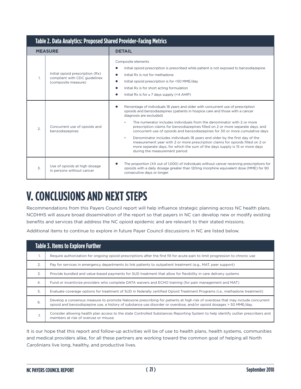| <b>Table 2. Data Analytics: Proposed Shared Provider-Facing Metrics</b> |                                                                                          |                                                                                                                                                                                                                                                                                                                                                                                                                                                                                                                                                                                                                                                                                                                                                     |
|-------------------------------------------------------------------------|------------------------------------------------------------------------------------------|-----------------------------------------------------------------------------------------------------------------------------------------------------------------------------------------------------------------------------------------------------------------------------------------------------------------------------------------------------------------------------------------------------------------------------------------------------------------------------------------------------------------------------------------------------------------------------------------------------------------------------------------------------------------------------------------------------------------------------------------------------|
|                                                                         | <b>MEASURE</b>                                                                           | <b>DETAIL</b>                                                                                                                                                                                                                                                                                                                                                                                                                                                                                                                                                                                                                                                                                                                                       |
| 1                                                                       | Initial opioid prescription (Rx)<br>compliant with CDC guidelines<br>(composite measure) | Composite elements<br>Initial opioid prescription is prescribed while patient is not exposed to benzodiazepine<br>Initial Rx is not for methadone<br>$\bullet$<br>Initial opioid prescription is for <50 MME/day<br>$\bullet$<br>Initial Rx is for short acting formulation<br>$\bullet$<br>Initial Rx is for $\leq 7$ days supply (<4 AHIP)<br>$\bullet$                                                                                                                                                                                                                                                                                                                                                                                           |
| $\overline{2}$ .                                                        | Concurrent use of opioids and<br>benzodiazepines                                         | Percentage of individuals 18 years and older with concurrent use of prescription<br>opioids and benzodiazepines (patients in hospice care and those with a cancer<br>diagnosis are excluded)<br>The numerator includes individuals from the denominator with 2 or more<br>$\bullet$<br>prescription claims for benzodiazepines filled on 2 or more separate days, and<br>concurrent use of opioids and benzodiazepines for 30 or more cumulative days<br>Denominator includes individuals 18 years and older by the first day of the<br>$\bullet$<br>measurement year with 2 or more prescription claims for opioids filled on 2 or<br>more separate days, for which the sum of the days supply is 15 or more days<br>during the measurement period |
| 3.                                                                      | Use of opioids at high dosage<br>in persons without cancer                               | The proportion (XX out of 1,000) of individuals without cancer receiving prescriptions for<br>opioids with a daily dosage greater than 120mg morphine equivalent dose (MME) for 90<br>consecutive days or longer.                                                                                                                                                                                                                                                                                                                                                                                                                                                                                                                                   |

# **V.CONCLUSIONS AND NEXT STEPS**

Recommendations from this Payers Council report will help influence strategic planning across NC health plans. NCDHHS will assure broad dissemination of the report so that payers in NC can develop new or modify existing benefits and services that address the NC opioid epidemic and are relevant to their stated missions.

Additional items to continue to explore in future Payer Council discussions in NC are listed below.

|                  | <b>Table 3. Items to Explore Further</b>                                                                                                                                                                                                             |
|------------------|------------------------------------------------------------------------------------------------------------------------------------------------------------------------------------------------------------------------------------------------------|
| ш.               | Require authorization for ongoing opioid prescriptions after the first fill for acute pain to limit progression to chronic use                                                                                                                       |
| $\overline{2}$ . | Pay for services in emergency departments to link patients to outpatient treatment (e.g., MAT, peer support)                                                                                                                                         |
| 3.               | Provide bundled and value-based payments for SUD treatment that allow for flexibility in care delivery systems                                                                                                                                       |
| $\mathbf{4}$ .   | Fund or incentivize providers who complete DATA waivers and ECHO training (for pain management and MAT)                                                                                                                                              |
| 5.               | Evaluate coverage options for treatment of SUD in federally certified Opioid Treatment Programs (i.e., methadone treatment)                                                                                                                          |
| 6.               | Develop a consensus measure to promote Naloxone prescribing for patients at high risk of overdose that may include concurrent<br>opioid and benzodiazepine use, a history of substance use disorder or overdose, and/or opioid dosages > 50 MME/day. |
| 7.               | Consider allowing health plan access to the state Controlled Substances Reporting System to help identify outlier prescribers and<br>members at risk of overuse or misuse.                                                                           |

It is our hope that this report and follow-up activities will be of use to health plans, health systems, communities and medical providers alike, for all these partners are working toward the common goal of helping all North Carolinians live long, healthy, and productive lives.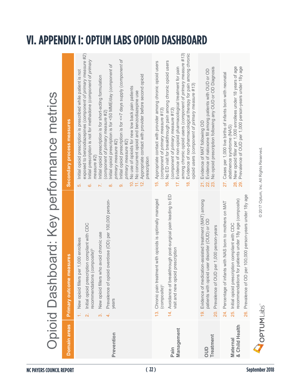# Opioid Dashboard: Key performance metrics Opioid Dashboard: Key performance metrics

| Domain areas                      | Primary outcome measures                                                                                                                                                                                                                                                                                    | Secondary process measures                                                                                                                                                                                                                                                                                                                                                                                                                                                                                                                                                                                                                                                                                                          |
|-----------------------------------|-------------------------------------------------------------------------------------------------------------------------------------------------------------------------------------------------------------------------------------------------------------------------------------------------------------|-------------------------------------------------------------------------------------------------------------------------------------------------------------------------------------------------------------------------------------------------------------------------------------------------------------------------------------------------------------------------------------------------------------------------------------------------------------------------------------------------------------------------------------------------------------------------------------------------------------------------------------------------------------------------------------------------------------------------------------|
| Prevention                        | Prevalence of opioid overdose (OD) per 100,000 person-<br>Initial opioid prescription compliant with CDC<br>New opioid fillers who avoid chronic use<br>New opioid fillers per 1,000 enrollees<br>composite) <sup>b</sup><br>recommendations (<br>years<br>÷,<br>$\overline{\mathbf{a}}$<br>$\vec{r}$<br>က် | exposed to benzodiazepines (component of primary measure #2)<br>Initial opioid prescription is for <=7 days supply (component of<br>Initial prescription is not for methadone (component of primary<br>nitial opioid prescription is for <50 MME/day (component of<br>Initial opioid prescription is prescribed while patient is not<br>Appropriate contact with provider before second opioid<br>Initial opioid prescription is for short-acting formulation<br>No use of opioids for new low back pain patients<br>No concurrent opioid and benzodiazepine use<br>(component of primary measure #2)<br>primary measure #2)<br>primary measure #2)<br>measure #2<br>prescription<br>Ξ,<br>$\frac{1}{2}$<br>Ó.<br>တဲ<br>6<br>ယ<br>ထ |
| Management<br>Pain                | 14. Avoidance of breakthrough post-surgical pain leading to ED<br>13. Chronic pain treatment with opioids is optimally managed<br>visit and new opioid prescription<br>(composite) <sup>c</sup>                                                                                                             | among chronic opioid users (component of primary measure #13)<br>Evidence of non-pharmacological therapy for pain among chronic<br>No ED visit for breakthrough pain among chronic opioid users<br>Appropriate contact with provider among chronic opioid users<br>Evidence of non-opioid pharmacological treatment for pain<br>opioid users (component of primary measure #13)<br>(component of primary measure #13)<br>(component of primary measure #13)<br>15.<br><u>(6</u><br>∕.                                                                                                                                                                                                                                               |
| Treatment<br>OUD                  | 19. Evidence of medication-assisted treatment (MAT) among<br>user disorder (OUD) or OD<br>per 1,000 person-years<br>patients with opioid<br>20. Prevalence of OUD                                                                                                                                           | No opioid prescription following any OUD or OD Diagnosis<br>Evidence of naloxone fill among patients with OUD or OD<br>Evidence of MAT following OD<br>$\frac{1}{21}$<br>22.                                                                                                                                                                                                                                                                                                                                                                                                                                                                                                                                                        |
| & Child Health<br><b>Maternal</b> | 26. Prevalence of OD per 100,000 person-years under 18y age<br>recommendations for patients under 18y age (composite)<br>24. Percentage of infants with NAS born to mothers on MAT<br>25. Initial opioid prescription compliant with CDC                                                                    | New opioid filler per 1,000 enrollees under 18 years of age<br>Prevalence of OUD per 1,000 person-years under 18y age<br>Cases per 1,000 live births of infants born with neonatal<br>abstinence syndrome (NAS)<br>27.<br>28.<br>29.                                                                                                                                                                                                                                                                                                                                                                                                                                                                                                |
| OPTUMLabs                         |                                                                                                                                                                                                                                                                                                             | © 2017 Optum, Inc. All Rights Reserved.                                                                                                                                                                                                                                                                                                                                                                                                                                                                                                                                                                                                                                                                                             |

# **VI. APPENDIX I: OPTUM LABS OPIOID DASHBOARD**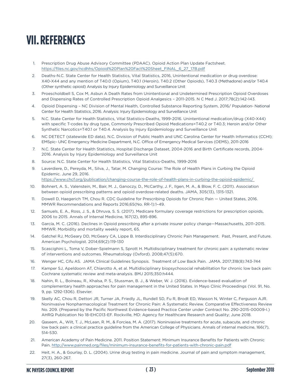# **VII.REFERENCES**

- 1. Prescription Drug Abuse Advisory Committee (PDAAC). Opioid Action Plan Update Factsheet. [https://files.nc.gov/ncdhhs/Opioid%20Plan%20Fact%20Sheet\\_FINAL\\_6\\_27\\_17B.pdf](https://files.nc.gov/ncdhhs/Opioid%20Plan%20Fact%20Sheet_FINAL_6_27_17B.pdf)
- 2. Deaths-N.C. State Center for Health Statistics, Vital Statistics, 2016, Unintentional medication or drug overdose: X40-X44 and any mention of T40.0 (Opium), T40.1 (Heroin), T40.2 (Other Opioids), T40.3 (Methadone) and/or T40.4 (Other synthetic opioid) Analysis by Injury Epidemiology and Surveillance Unit
- 3. Proescholdbell S, Cox M, Asbun A Death Rates from Unintentional and Undetermined Prescription Opioid Overdoses and Dispensing Rates of Controlled Prescription Opioid Analgesics – 2011-2015. N C Med J. 2017;78(2):142-143.
- 4. Opioid Dispensing NC Division of Mental Health, Controlled Substance Reporting System, 2016/ Population- National Center for Health Statistics, 2016. Analysis: Injury Epidemiology and Surveillance Unit
- 5. N.C. State Center for Health Statistics, Vital Statistics-Deaths, 1999-2016. Unintentional medication/drug (X40-X44) with specific T-codes by drug type, Commonly Prescribed Opioid Medications=T40.2 or T40.3; Heroin and/or Other Synthetic Narcotics=T40.1 or T40.4. Analysis by Injury Epidemiology and Surveillance Unit
- 6. NC DETECT (statewide ED data), N.C. Division of Public Health and UNC Carolina Center for Health Informatics (CCHI); EMSpic- UNC Emergency Medicine Department, N.C. Office of Emergency Medical Services (OEMS), 2011-2016
- 7. N.C. State Center for Health Statistics, Hospital Discharge Dataset, 2004-2016 and Birth Certificate records, 2004- 2016. Analysis by Injury Epidemiology and Surveillance Unit
- 8. Source: N.C. State Center for Health Statistics, Vital Statistics-Deaths, 1999-2016
- 9. Laverdiere, D., Pereyda, M., Silva, J., Tatar, M. Changing Course: The Role of Health Plans in Curbing the Opioid Epidemic. June 29, 2016.
	- <https://www.chcf.org/publication/changing-course-the-role-of-health-plans-in-curbing-the-opioid-epidemic/>
- 10. Bohnert, A. S., Valenstein, M., Bair, M. J., Ganoczy, D., McCarthy, J. F., Ilgen, M. A., & Blow, F. C. (2011). Association between opioid prescribing patterns and opioid overdose-related deaths. JAMA, 305(13), 1315-1321.
- 11. Dowell D, Haegerich TM, Chou R. CDC Guideline for Prescribing Opioids for Chronic Pain United States, 2016. MMWR Recommendations and Reports 2016;65(No. RR-1):1–49.
- 12. Samuels, E. A., Ross, J. S., & Dhruva, S. S. (2017). Medicare formulary coverage restrictions for prescription opioids, 2006 to 2015. Annals of Internal Medicine, 167(12), 895-896.
- 13. García, M. C. (2016). Declines in Opioid prescribing after a private insurer policy change—Massachusetts, 2011–2015. MMWR. Morbidity and mortality weekly report, 65.
- 14. Gatchel RJ, McGeary DD, McGeary CA, Lippe B. Interdisciplinary Chronic Pain Management. Past, Present, and Future. American Psychologist. 2014;69(2):119-130
- 15. Scascighini L, Toma V, Dober-Spielmann S, Sprott H. Multidisciplinary treatment for chronic pain: a systematic review of interventions and outcomes. Rheumatology (Oxford). 2008;47(5):670.
- 16. Wenger HC, Cifu AS. JAMA Clinical Guidelines Synopsis. Treatment of Low Back Pain. JAMA. 2017;318(8):743-744
- 17. Kamper SJ, Apeldoorn AT, Chiarotto A, et al. Multidisciplinary biopsychosocial rehabilitation for chronic low back pain: Cochrane systematic review and meta-analysis. BMJ 2015;350:h444.
- 18. Nahin, R. L., Boineau, R., Khalsa, P. S., Stussman, B. J., & Weber, W. J. (2016). Evidence-based evaluation of complementary health approaches for pain management in the United States. In Mayo Clinic Proceedings (Vol. 91, No. 9, pp. 1292-1306). Elsevier.
- 19. Skelly AC, Chou R, Dettori JR, Turner JA, Friedly JL, Rundell SD, Fu R, Brodt ED, Wasson N, Winter C, Ferguson AJR. Noninvasive Nonpharmacological Treatment for Chronic Pain: A Systematic Review. Comparative Effectiveness Review No. 209. (Prepared by the Pacific Northwest Evidence-based Practice Center under Contract No. 290-2015-00009-I.) AHRQ Publication No 18-EHC013-EF. Rockville, MD: Agency for Healthcare Research and Quality; June 2018.
- 20. Qaseem, A., Wilt, T. J., McLean, R. M., & Forciea, M. A. (2017). Noninvasive treatments for acute, subacute, and chronic low back pain: a clinical practice guideline from the American College of Physicians. Annals of internal medicine, 166(7), 514-530.
- 21. American Academy of Pain Medicine. 2011. Position Statement: Minimum Insurance Benefits for Patients with Chronic Pain.<http://www.painmed.org/files/minimum-insurance-benefits-for-patients-with-chronic-pain.pdf>
- 22. Heit, H. A., & Gourlay, D. L. (2004). Urine drug testing in pain medicine. Journal of pain and symptom management, 27(3), 260-267.